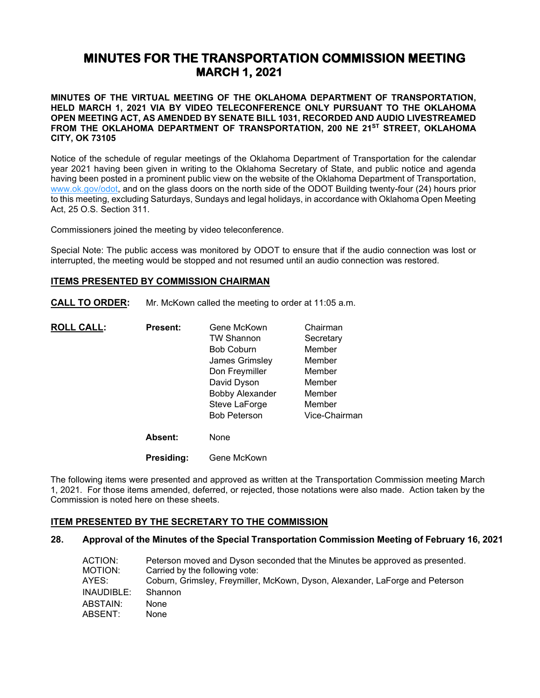# **MINUTES FOR THE TRANSPORTATION COMMISSION MEETING MARCH 1, 2021**

**MINUTES OF THE VIRTUAL MEETING OF THE OKLAHOMA DEPARTMENT OF TRANSPORTATION, HELD MARCH 1, 2021 VIA BY VIDEO TELECONFERENCE ONLY PURSUANT TO THE OKLAHOMA OPEN MEETING ACT, AS AMENDED BY SENATE BILL 1031, RECORDED AND AUDIO LIVESTREAMED FROM THE OKLAHOMA DEPARTMENT OF TRANSPORTATION, 200 NE 21ST STREET, OKLAHOMA CITY, OK 73105**

Notice of the schedule of regular meetings of the Oklahoma Department of Transportation for the calendar year 2021 having been given in writing to the Oklahoma Secretary of State, and public notice and agenda having been posted in a prominent public view on the website of the Oklahoma Department of Transportation, [www.ok.gov/odot,](http://www.ok.gov/odot) and on the glass doors on the north side of the ODOT Building twenty-four (24) hours prior to this meeting, excluding Saturdays, Sundays and legal holidays, in accordance with Oklahoma Open Meeting Act, 25 O.S. Section 311.

Commissioners joined the meeting by video teleconference.

Special Note: The public access was monitored by ODOT to ensure that if the audio connection was lost or interrupted, the meeting would be stopped and not resumed until an audio connection was restored.

#### **ITEMS PRESENTED BY COMMISSION CHAIRMAN**

**CALL TO ORDER:** Mr. McKown called the meeting to order at 11:05 a.m.

| <b>ROLL CALL:</b> | <b>Present:</b> | Gene McKown            | Chairman      |
|-------------------|-----------------|------------------------|---------------|
|                   |                 | <b>TW Shannon</b>      | Secretary     |
|                   |                 | <b>Bob Coburn</b>      | Member        |
|                   |                 | James Grimsley         | Member        |
|                   |                 | Don Freymiller         | Member        |
|                   |                 | David Dyson            | Member        |
|                   |                 | <b>Bobby Alexander</b> | Member        |
|                   |                 | Steve LaForge          | Member        |
|                   |                 | <b>Bob Peterson</b>    | Vice-Chairman |
|                   | <b>Absent:</b>  | None                   |               |
|                   | Presidina:      | Gene McKown            |               |

The following items were presented and approved as written at the Transportation Commission meeting March 1, 2021. For those items amended, deferred, or rejected, those notations were also made. Action taken by the Commission is noted here on these sheets.

#### **ITEM PRESENTED BY THE SECRETARY TO THE COMMISSION**

# **28. Approval of the Minutes of the Special Transportation Commission Meeting of February 16, 2021**

| ACTION:    | Peterson moved and Dyson seconded that the Minutes be approved as presented. |
|------------|------------------------------------------------------------------------------|
| MOTION:    | Carried by the following vote:                                               |
| AYES:      | Coburn, Grimsley, Freymiller, McKown, Dyson, Alexander, LaForge and Peterson |
| INAUDIBLE: | Shannon                                                                      |
| ABSTAIN:   | <b>None</b>                                                                  |
| ABSENT:    | <b>None</b>                                                                  |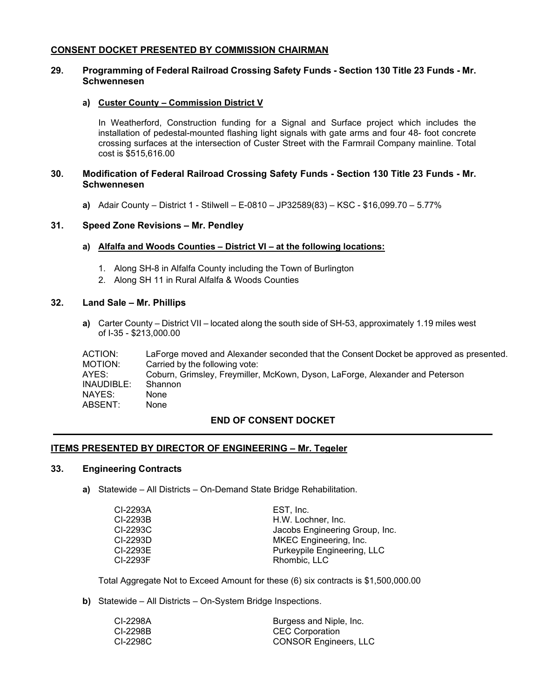### **CONSENT DOCKET PRESENTED BY COMMISSION CHAIRMAN**

# **29. Programming of Federal Railroad Crossing Safety Funds - Section 130 Title 23 Funds - Mr. Schwennesen**

#### **a) Custer County – Commission District V**

In Weatherford, Construction funding for a Signal and Surface project which includes the installation of pedestal-mounted flashing light signals with gate arms and four 48- foot concrete crossing surfaces at the intersection of Custer Street with the Farmrail Company mainline. Total cost is \$515,616.00

# **30. Modification of Federal Railroad Crossing Safety Funds - Section 130 Title 23 Funds - Mr. Schwennesen**

**a)** Adair County – District 1 - Stilwell – E-0810 – JP32589(83) – KSC - \$16,099.70 – 5.77%

#### **31. Speed Zone Revisions – Mr. Pendley**

- **a) Alfalfa and Woods Counties – District VI – at the following locations:**
	- 1. Along SH-8 in Alfalfa County including the Town of Burlington
	- 2. Along SH 11 in Rural Alfalfa & Woods Counties

#### **32. Land Sale – Mr. Phillips**

**a)** Carter County – District VII – located along the south side of SH-53, approximately 1.19 miles west of I-35 - \$213,000.00

| ACTION:<br>MOTION: | LaForge moved and Alexander seconded that the Consent Docket be approved as presented.<br>Carried by the following vote: |
|--------------------|--------------------------------------------------------------------------------------------------------------------------|
| AYES:              | Coburn, Grimsley, Freymiller, McKown, Dyson, LaForge, Alexander and Peterson                                             |
| INAUDIBLE:         | Shannon                                                                                                                  |
| NAYES:             | None                                                                                                                     |
| ABSENT:            | None                                                                                                                     |

#### **END OF CONSENT DOCKET**

#### **ITEMS PRESENTED BY DIRECTOR OF ENGINEERING – Mr. Tegeler**

#### **33. Engineering Contracts**

**a)** Statewide – All Districts – On-Demand State Bridge Rehabilitation.

| EST. Inc.                      |
|--------------------------------|
| H.W. Lochner, Inc.             |
| Jacobs Engineering Group, Inc. |
| MKEC Engineering, Inc.         |
| Purkeypile Engineering, LLC    |
| Rhombic, LLC                   |
|                                |

Total Aggregate Not to Exceed Amount for these (6) six contracts is \$1,500,000.00

**b)** Statewide – All Districts – On-System Bridge Inspections.

| CI-2298A | Burgess and Niple, Inc.      |
|----------|------------------------------|
| CI-2298B | <b>CEC Corporation</b>       |
| CI-2298C | <b>CONSOR Engineers, LLC</b> |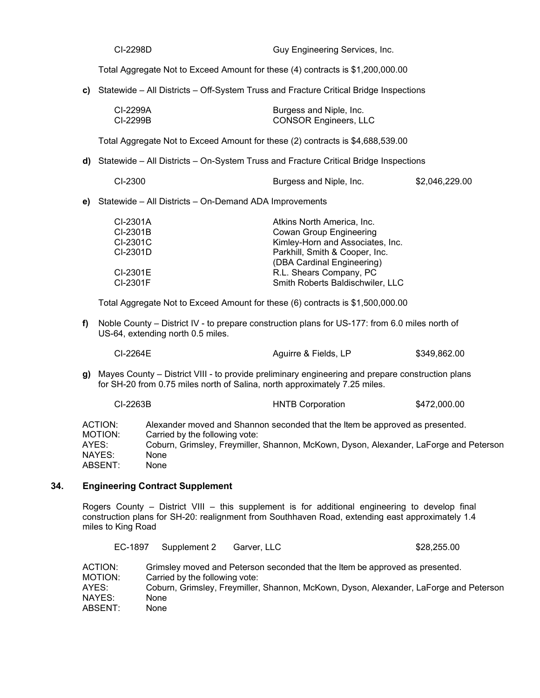| CI-2298D | Guy Engineering Services, Inc. |
|----------|--------------------------------|
|----------|--------------------------------|

Total Aggregate Not to Exceed Amount for these (4) contracts is \$1,200,000.00

**c)** Statewide – All Districts – Off-System Truss and Fracture Critical Bridge Inspections

| CI-2299A | Burgess and Niple, Inc.      |
|----------|------------------------------|
| CI-2299B | <b>CONSOR Engineers, LLC</b> |

Total Aggregate Not to Exceed Amount for these (2) contracts is \$4,688,539.00

**d)** Statewide – All Districts – On-System Truss and Fracture Critical Bridge Inspections

| CI-2300 | Burgess and Niple, Inc. | \$2,046,229.00 |
|---------|-------------------------|----------------|
|---------|-------------------------|----------------|

**e)** Statewide – All Districts – On-Demand ADA Improvements

| CI-2301A | Atkins North America, Inc.       |
|----------|----------------------------------|
| CI-2301B | <b>Cowan Group Engineering</b>   |
| CI-2301C | Kimley-Horn and Associates, Inc. |
| CI-2301D | Parkhill, Smith & Cooper, Inc.   |
|          | (DBA Cardinal Engineering)       |
| CI-2301E | R.L. Shears Company, PC          |
| CI-2301F | Smith Roberts Baldischwiler, LLC |

Total Aggregate Not to Exceed Amount for these (6) contracts is \$1,500,000.00

**f)** Noble County – District IV - to prepare construction plans for US-177: from 6.0 miles north of US-64, extending north 0.5 miles.

| CI-2264E | Aguirre & Fields, LP | \$349,862.00 |
|----------|----------------------|--------------|
|          |                      |              |

**g)** Mayes County – District VIII - to provide preliminary engineering and prepare construction plans for SH-20 from 0.75 miles north of Salina, north approximately 7.25 miles.

|                    | CI-2263B                                                                                                       | <b>HNTB Corporation</b> | \$472,000.00 |
|--------------------|----------------------------------------------------------------------------------------------------------------|-------------------------|--------------|
| ACTION:<br>MOTION: | Alexander moved and Shannon seconded that the Item be approved as presented.<br>Carried by the following vote: |                         |              |
| AYES:              | Coburn, Grimsley, Freymiller, Shannon, McKown, Dyson, Alexander, LaForge and Peterson                          |                         |              |
| NAYES:             | None                                                                                                           |                         |              |
| ABSENT:            | None                                                                                                           |                         |              |

# **34. Engineering Contract Supplement**

Rogers County – District VIII – this supplement is for additional engineering to develop final construction plans for SH-20: realignment from Southhaven Road, extending east approximately 1.4 miles to King Road

| EC-1897            | Supplement 2                   | Garver, LLC | \$28,255.00                                                                           |
|--------------------|--------------------------------|-------------|---------------------------------------------------------------------------------------|
| ACTION:<br>MOTION: | Carried by the following vote: |             | Grimsley moved and Peterson seconded that the Item be approved as presented.          |
| AYES:              |                                |             | Coburn, Grimsley, Freymiller, Shannon, McKown, Dyson, Alexander, LaForge and Peterson |
| NAYES:             | None                           |             |                                                                                       |
| ABSENT:            | None                           |             |                                                                                       |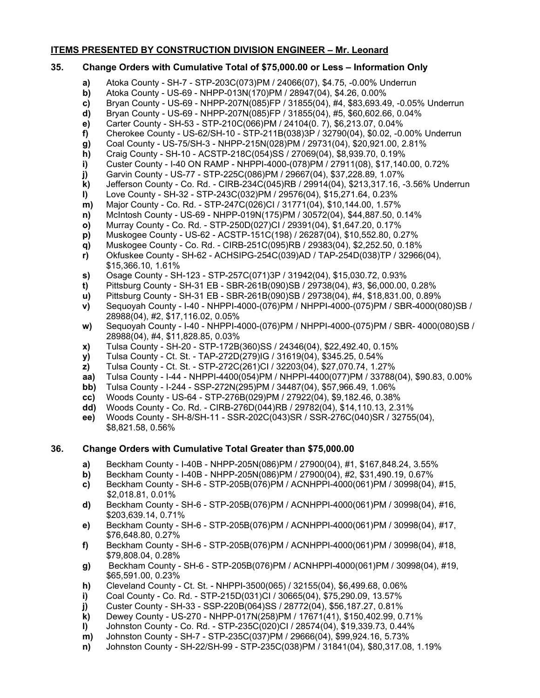# **ITEMS PRESENTED BY CONSTRUCTION DIVISION ENGINEER – Mr. Leonard**

# **35. Change Orders with Cumulative Total of \$75,000.00 or Less – Information Only**

- **a)** Atoka County SH-7 STP-203C(073)PM / 24066(07), \$4.75, -0.00% Underrun
- **b)** Atoka County US-69 NHPP-013N(170)PM / 28947(04), \$4.26, 0.00%
- **c)** Bryan County US-69 NHPP-207N(085)FP / 31855(04), #4, \$83,693.49, -0.05% Underrun
- **d)** Bryan County US-69 NHPP-207N(085)FP / 31855(04), #5, \$60,602.66, 0.04%
- **e)** Carter County SH-53 STP-210C(066)PM / 24104(0. 7), \$6,213.07, 0.04%
- **f)** Cherokee County US-62/SH-10 STP-211B(038)3P / 32790(04), \$0.02, -0.00% Underrun
- **g)** Coal County US-75/SH-3 NHPP-215N(028)PM / 29731(04), \$20,921.00, 2.81%
- **h)** Craig County SH-10 ACSTP-218C(054)SS / 27069(04), \$8,939.70, 0.19%
- **i)** Custer County I-40 ON RAMP NHPPI-4000-(078)PM / 27911(08), \$17,140.00, 0.72%
- **j)** Garvin County US-77 STP-225C(086)PM / 29667(04), \$37,228.89, 1.07%
- **k)** Jefferson County Co. Rd. CIRB-234C(045)RB / 29914(04), \$213,317.16, -3.56% Underrun
- **l)** Love County SH-32 STP-243C(032)PM / 29576(04), \$15,271.64, 0.23%
- **m)** Major County Co. Rd. STP-247C(026)CI / 31771(04), \$10,144.00, 1.57%
- **n)** McIntosh County US-69 NHPP-019N(175)PM / 30572(04), \$44,887.50, 0.14%
- **o)** Murray County Co. Rd. STP-250D(027)CI / 29391(04), \$1,647.20, 0.17%
- **p)** Muskogee County US-62 ACSTP-151C(198) / 26287(04), \$10,552.80, 0.27%
- **q)** Muskogee County Co. Rd. CIRB-251C(095)RB / 29383(04), \$2,252.50, 0.18%
- **r)** Okfuskee County SH-62 ACHSIPG-254C(039)AD / TAP-254D(038)TP / 32966(04), \$15,366.10, 1.61%
- **s)** Osage County SH-123 STP-257C(071)3P / 31942(04), \$15,030.72, 0.93%
- **t)** Pittsburg County SH-31 EB SBR-261B(090)SB / 29738(04), #3, \$6,000.00, 0.28%
- **u)** Pittsburg County SH-31 EB SBR-261B(090)SB / 29738(04), #4, \$18,831.00, 0.89%
- **v)** Sequoyah County I-40 NHPPI-4000-(076)PM / NHPPI-4000-(075)PM / SBR-4000(080)SB / 28988(04), #2, \$17,116.02, 0.05%
- **w)** Sequoyah County I-40 NHPPI-4000-(076)PM / NHPPI-4000-(075)PM / SBR- 4000(080)SB / 28988(04), #4, \$11,828.85, 0.03%
- **x)** Tulsa County SH-20 STP-172B(360)SS / 24346(04), \$22,492.40, 0.15%
- **y)** Tulsa County Ct. St. TAP-272D(279)IG / 31619(04), \$345.25, 0.54%
- **z)** Tulsa County Ct. St. STP-272C(261)CI / 32203(04), \$27,070.74, 1.27%
- **aa)** Tulsa County I-44 NHPPI-4400(054)PM / NHPPI-4400(077)PM / 33788(04), \$90.83, 0.00%
- **bb)** Tulsa County I-244 SSP-272N(295)PM / 34487(04), \$57,966.49, 1.06%
- **cc)** Woods County US-64 STP-276B(029)PM / 27922(04), \$9,182.46, 0.38%
- **dd)** Woods County Co. Rd. CIRB-276D(044)RB / 29782(04), \$14,110.13, 2.31%
- **ee)** Woods County SH-8/SH-11 SSR-202C(043)SR / SSR-276C(040)SR / 32755(04), \$8,821.58, 0.56%

# **36. Change Orders with Cumulative Total Greater than \$75,000.00**

- **a)** Beckham County I-40B NHPP-205N(086)PM / 27900(04), #1, \$167,848.24, 3.55%
- **b)** Beckham County I-40B NHPP-205N(086)PM / 27900(04), #2, \$31,490.19, 0.67%
- **c)** Beckham County SH-6 STP-205B(076)PM / ACNHPPI-4000(061)PM / 30998(04), #15, \$2,018.81, 0.01%
- **d)** Beckham County SH-6 STP-205B(076)PM / ACNHPPI-4000(061)PM / 30998(04), #16, \$203,639.14, 0.71%
- **e)** Beckham County SH-6 STP-205B(076)PM / ACNHPPI-4000(061)PM / 30998(04), #17, \$76,648.80, 0.27%
- **f)** Beckham County SH-6 STP-205B(076)PM / ACNHPPI-4000(061)PM / 30998(04), #18, \$79,808.04, 0.28%
- **g)** Beckham County SH-6 STP-205B(076)PM / ACNHPPI-4000(061)PM / 30998(04), #19, \$65,591.00, 0.23%
- **h)** Cleveland County Ct. St. NHPPI-3500(065) / 32155(04), \$6,499.68, 0.06%
- **i)** Coal County Co. Rd. STP-215D(031)CI / 30665(04), \$75,290.09, 13.57%
- **j)** Custer County SH-33 SSP-220B(064)SS / 28772(04), \$56,187.27, 0.81%
- **k)** Dewey County US-270 NHPP-017N(258)PM / 17671(41), \$150,402.99, 0.71%
- **l)** Johnston County Co. Rd. STP-235C(020)CI / 28574(04), \$19,339.73, 0.44%
- **m)** Johnston County SH-7 STP-235C(037)PM / 29666(04), \$99,924.16, 5.73%
- **n)** Johnston County SH-22/SH-99 STP-235C(038)PM / 31841(04), \$80,317.08, 1.19%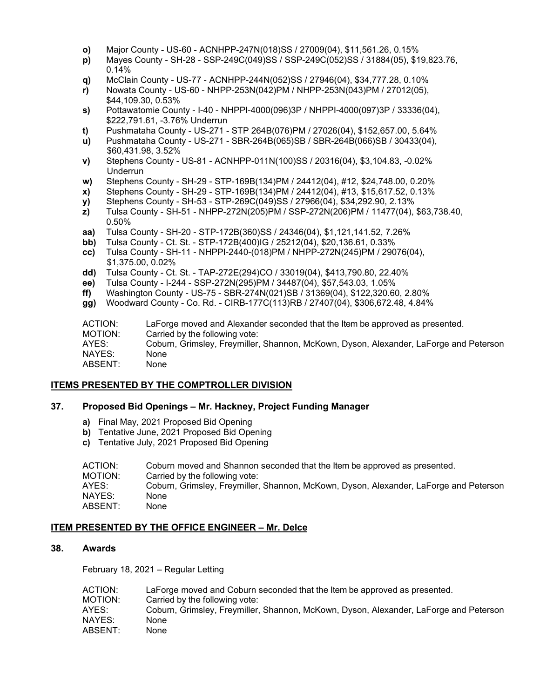- **o)** Major County US-60 ACNHPP-247N(018)SS / 27009(04), \$11,561.26, 0.15%
- **p)** Mayes County SH-28 SSP-249C(049)SS / SSP-249C(052)SS / 31884(05), \$19,823.76, 0.14%
- **q)** McClain County US-77 ACNHPP-244N(052)SS / 27946(04), \$34,777.28, 0.10%
- **r)** Nowata County US-60 NHPP-253N(042)PM / NHPP-253N(043)PM / 27012(05), \$44,109.30, 0.53%
- **s)** Pottawatomie County I-40 NHPPI-4000(096)3P / NHPPI-4000(097)3P / 33336(04), \$222,791.61, -3.76% Underrun
- **t)** Pushmataha County US-271 STP 264B(076)PM / 27026(04), \$152,657.00, 5.64%
- **u)** Pushmataha County US-271 SBR-264B(065)SB / SBR-264B(066)SB / 30433(04), \$60,431.98, 3.52%
- **v)** Stephens County US-81 ACNHPP-011N(100)SS / 20316(04), \$3,104.83, -0.02% Underrun
- **w)** Stephens County SH-29 STP-169B(134)PM / 24412(04), #12, \$24,748.00, 0.20%
- **x)** Stephens County SH-29 STP-169B(134)PM / 24412(04), #13, \$15,617.52, 0.13%
- **y)** Stephens County SH-53 STP-269C(049)SS / 27966(04), \$34,292.90, 2.13%
- **z)** Tulsa County SH-51 NHPP-272N(205)PM / SSP-272N(206)PM / 11477(04), \$63,738.40, 0.50%
- **aa)** Tulsa County SH-20 STP-172B(360)SS / 24346(04), \$1,121,141.52, 7.26%
- **bb)** Tulsa County Ct. St. STP-172B(400)IG / 25212(04), \$20,136.61, 0.33%
- **cc)** Tulsa County SH-11 NHPPI-2440-(018)PM / NHPP-272N(245)PM / 29076(04), \$1,375.00, 0.02%
- **dd)** Tulsa County Ct. St. TAP-272E(294)CO / 33019(04), \$413,790.80, 22.40%
- **ee)** Tulsa County I-244 SSP-272N(295)PM / 34487(04), \$57,543.03, 1.05%
- **ff)** Washington County US-75 SBR-274N(021)SB / 31369(04), \$122,320.60, 2.80%
- **gg)** Woodward County Co. Rd. CIRB-177C(113)RB / 27407(04), \$306,672.48, 4.84%

| ABSENT:<br>None | NAYES:<br>None | ACTION:<br>MOTION:<br>AYES: | LaForge moved and Alexander seconded that the Item be approved as presented.<br>Carried by the following vote:<br>Coburn, Grimsley, Freymiller, Shannon, McKown, Dyson, Alexander, LaForge and Peterson |
|-----------------|----------------|-----------------------------|---------------------------------------------------------------------------------------------------------------------------------------------------------------------------------------------------------|
|-----------------|----------------|-----------------------------|---------------------------------------------------------------------------------------------------------------------------------------------------------------------------------------------------------|

#### **ITEMS PRESENTED BY THE COMPTROLLER DIVISION**

#### **37. Proposed Bid Openings – Mr. Hackney, Project Funding Manager**

- **a)** Final May, 2021 Proposed Bid Opening
- **b)** Tentative June, 2021 Proposed Bid Opening
- **c)** Tentative July, 2021 Proposed Bid Opening

| ACTION:<br>MOTION:<br>AYES:<br>NAYES: | Coburn moved and Shannon seconded that the Item be approved as presented.<br>Carried by the following vote:<br>Coburn, Grimsley, Freymiller, Shannon, McKown, Dyson, Alexander, LaForge and Peterson<br>None |
|---------------------------------------|--------------------------------------------------------------------------------------------------------------------------------------------------------------------------------------------------------------|
|                                       |                                                                                                                                                                                                              |
| ABSENT:                               | None                                                                                                                                                                                                         |

#### **ITEM PRESENTED BY THE OFFICE ENGINEER – Mr. Delce**

# **38. Awards**

February 18, 2021 – Regular Letting

| ACTION: | LaForge moved and Coburn seconded that the Item be approved as presented.             |
|---------|---------------------------------------------------------------------------------------|
| MOTION: | Carried by the following vote:                                                        |
| AYES:   | Coburn, Grimsley, Freymiller, Shannon, McKown, Dyson, Alexander, LaForge and Peterson |
| NAYES:  | None                                                                                  |
| ABSENT: | None                                                                                  |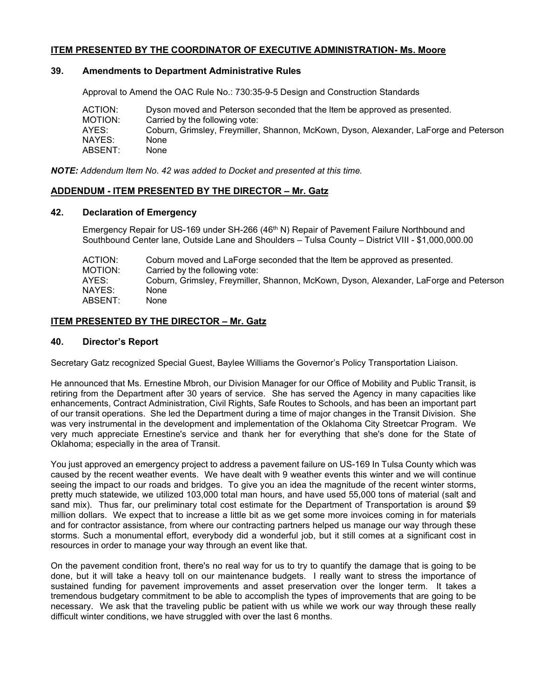# **ITEM PRESENTED BY THE COORDINATOR OF EXECUTIVE ADMINISTRATION- Ms. Moore**

#### **39. Amendments to Department Administrative Rules**

Approval to Amend the OAC Rule No.: 730:35-9-5 Design and Construction Standards

| ACTION: | Dyson moved and Peterson seconded that the Item be approved as presented.             |
|---------|---------------------------------------------------------------------------------------|
| MOTION: | Carried by the following vote:                                                        |
| AYES:   | Coburn, Grimsley, Freymiller, Shannon, McKown, Dyson, Alexander, LaForge and Peterson |
| NAYES:  | None                                                                                  |
| ABSENT: | None                                                                                  |

*NOTE: Addendum Item No. 42 was added to Docket and presented at this time.*

# **ADDENDUM - ITEM PRESENTED BY THE DIRECTOR – Mr. Gatz**

#### **42. Declaration of Emergency**

Emergency Repair for US-169 under SH-266 (46<sup>th</sup> N) Repair of Pavement Failure Northbound and Southbound Center lane, Outside Lane and Shoulders – Tulsa County – District VIII - \$1,000,000.00

| ACTION: | Coburn moved and LaForge seconded that the Item be approved as presented.             |
|---------|---------------------------------------------------------------------------------------|
| MOTION: | Carried by the following vote:                                                        |
| AYES:   | Coburn, Grimsley, Freymiller, Shannon, McKown, Dyson, Alexander, LaForge and Peterson |
| NAYES:  | <b>None</b>                                                                           |
| ABSENT: | None                                                                                  |

# **ITEM PRESENTED BY THE DIRECTOR – Mr. Gatz**

# **40. Director's Report**

Secretary Gatz recognized Special Guest, Baylee Williams the Governor's Policy Transportation Liaison.

He announced that Ms. Ernestine Mbroh, our Division Manager for our Office of Mobility and Public Transit, is retiring from the Department after 30 years of service. She has served the Agency in many capacities like enhancements, Contract Administration, Civil Rights, Safe Routes to Schools, and has been an important part of our transit operations. She led the Department during a time of major changes in the Transit Division. She was very instrumental in the development and implementation of the Oklahoma City Streetcar Program. We very much appreciate Ernestine's service and thank her for everything that she's done for the State of Oklahoma; especially in the area of Transit.

You just approved an emergency project to address a pavement failure on US-169 In Tulsa County which was caused by the recent weather events. We have dealt with 9 weather events this winter and we will continue seeing the impact to our roads and bridges. To give you an idea the magnitude of the recent winter storms, pretty much statewide, we utilized 103,000 total man hours, and have used 55,000 tons of material (salt and sand mix). Thus far, our preliminary total cost estimate for the Department of Transportation is around \$9 million dollars. We expect that to increase a little bit as we get some more invoices coming in for materials and for contractor assistance, from where our contracting partners helped us manage our way through these storms. Such a monumental effort, everybody did a wonderful job, but it still comes at a significant cost in resources in order to manage your way through an event like that.

On the pavement condition front, there's no real way for us to try to quantify the damage that is going to be done, but it will take a heavy toll on our maintenance budgets. I really want to stress the importance of sustained funding for pavement improvements and asset preservation over the longer term. It takes a tremendous budgetary commitment to be able to accomplish the types of improvements that are going to be necessary. We ask that the traveling public be patient with us while we work our way through these really difficult winter conditions, we have struggled with over the last 6 months.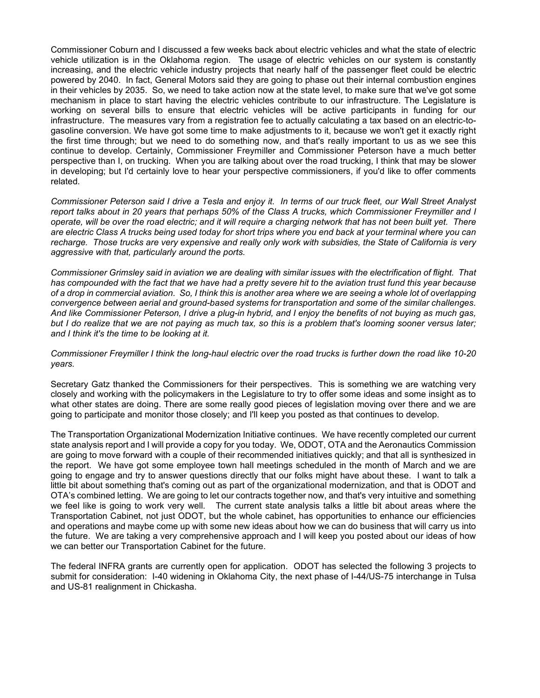Commissioner Coburn and I discussed a few weeks back about electric vehicles and what the state of electric vehicle utilization is in the Oklahoma region. The usage of electric vehicles on our system is constantly increasing, and the electric vehicle industry projects that nearly half of the passenger fleet could be electric powered by 2040. In fact, General Motors said they are going to phase out their internal combustion engines in their vehicles by 2035. So, we need to take action now at the state level, to make sure that we've got some mechanism in place to start having the electric vehicles contribute to our infrastructure. The Legislature is working on several bills to ensure that electric vehicles will be active participants in funding for our infrastructure. The measures vary from a registration fee to actually calculating a tax based on an electric-togasoline conversion. We have got some time to make adjustments to it, because we won't get it exactly right the first time through; but we need to do something now, and that's really important to us as we see this continue to develop. Certainly, Commissioner Freymiller and Commissioner Peterson have a much better perspective than I, on trucking. When you are talking about over the road trucking, I think that may be slower in developing; but I'd certainly love to hear your perspective commissioners, if you'd like to offer comments related.

*Commissioner Peterson said I drive a Tesla and enjoy it. In terms of our truck fleet, our Wall Street Analyst report talks about in 20 years that perhaps 50% of the Class A trucks, which Commissioner Freymiller and I operate, will be over the road electric; and it will require a charging network that has not been built yet. There are electric Class A trucks being used today for short trips where you end back at your terminal where you can recharge. Those trucks are very expensive and really only work with subsidies, the State of California is very aggressive with that, particularly around the ports.* 

*Commissioner Grimsley said in aviation we are dealing with similar issues with the electrification of flight. That has compounded with the fact that we have had a pretty severe hit to the aviation trust fund this year because of a drop in commercial aviation. So, I think this is another area where we are seeing a whole lot of overlapping convergence between aerial and ground-based systems for transportation and some of the similar challenges. And like Commissioner Peterson, I drive a plug-in hybrid, and I enjoy the benefits of not buying as much gas, but I do realize that we are not paying as much tax, so this is a problem that's looming sooner versus later; and I think it's the time to be looking at it.* 

#### *Commissioner Freymiller I think the long-haul electric over the road trucks is further down the road like 10-20 years.*

Secretary Gatz thanked the Commissioners for their perspectives. This is something we are watching very closely and working with the policymakers in the Legislature to try to offer some ideas and some insight as to what other states are doing. There are some really good pieces of legislation moving over there and we are going to participate and monitor those closely; and I'll keep you posted as that continues to develop.

The Transportation Organizational Modernization Initiative continues. We have recently completed our current state analysis report and I will provide a copy for you today. We, ODOT, OTA and the Aeronautics Commission are going to move forward with a couple of their recommended initiatives quickly; and that all is synthesized in the report. We have got some employee town hall meetings scheduled in the month of March and we are going to engage and try to answer questions directly that our folks might have about these. I want to talk a little bit about something that's coming out as part of the organizational modernization, and that is ODOT and OTA's combined letting. We are going to let our contracts together now, and that's very intuitive and something we feel like is going to work very well. The current state analysis talks a little bit about areas where the Transportation Cabinet, not just ODOT, but the whole cabinet, has opportunities to enhance our efficiencies and operations and maybe come up with some new ideas about how we can do business that will carry us into the future. We are taking a very comprehensive approach and I will keep you posted about our ideas of how we can better our Transportation Cabinet for the future.

The federal INFRA grants are currently open for application. ODOT has selected the following 3 projects to submit for consideration: I-40 widening in Oklahoma City, the next phase of I-44/US-75 interchange in Tulsa and US-81 realignment in Chickasha.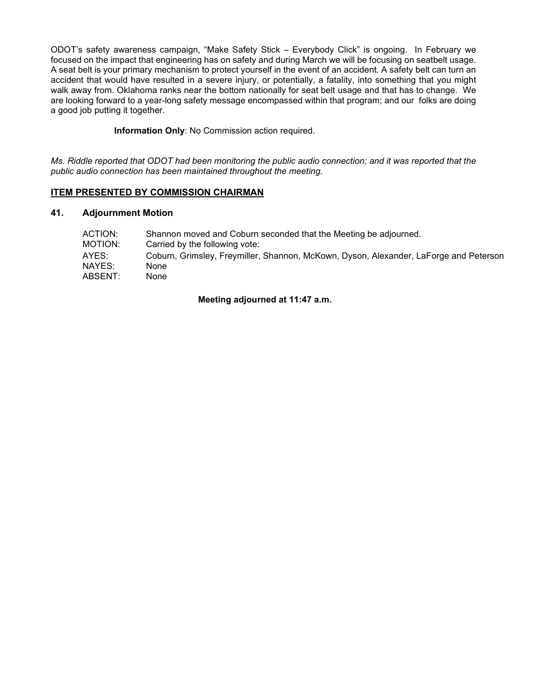ODOT's safety awareness campaign, "Make Safety Stick – Everybody Click" is ongoing. In February we focused on the impact that engineering has on safety and during March we will be focusing on seatbelt usage. A seat belt is your primary mechanism to protect yourself in the event of an accident. A safety belt can turn an accident that would have resulted in a severe injury, or potentially, a fatality, into something that you might walk away from. Oklahoma ranks near the bottom nationally for seat belt usage and that has to change. We are looking forward to a year-long safety message encompassed within that program; and our folks are doing a good job putting it together.

### **Information Only**: No Commission action required.

*Ms. Riddle reported that ODOT had been monitoring the public audio connection; and it was reported that the public audio connection has been maintained throughout the meeting.*

# **ITEM PRESENTED BY COMMISSION CHAIRMAN**

## **41. Adjournment Motion**

| ACTION: | Shannon moved and Coburn seconded that the Meeting be adjourned.                      |
|---------|---------------------------------------------------------------------------------------|
| MOTION: | Carried by the following vote:                                                        |
| AYES:   | Coburn, Grimsley, Freymiller, Shannon, McKown, Dyson, Alexander, LaForge and Peterson |
| NAYES:  | None                                                                                  |
| ABSENT: | None                                                                                  |

**Meeting adjourned at 11:47 a.m.**